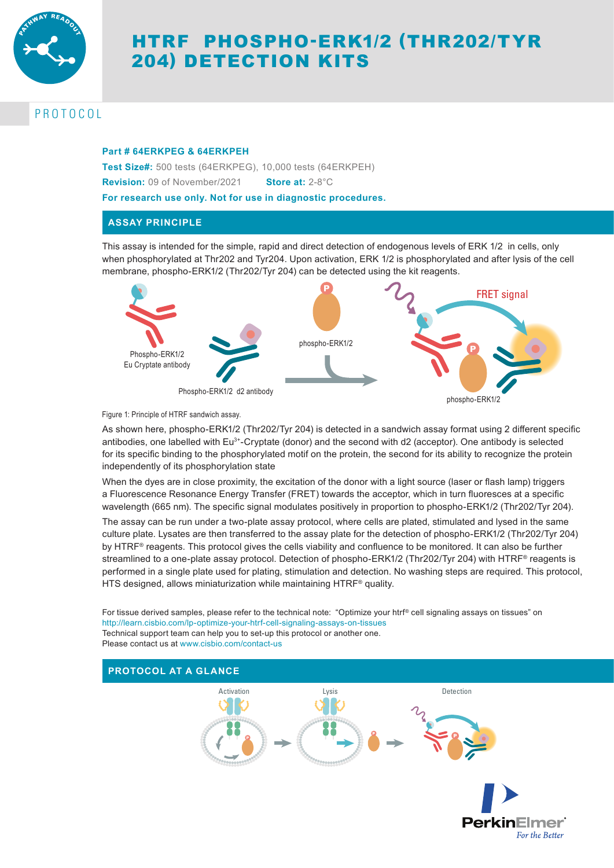

# HTRF PHOSPHO-ERK1/2 (THR202/TYR 204) DETECTION KITS

# PROTOCOL

# **Part # 64ERKPEG & 64ERKPEH**

**Test Size#:** 500 tests (64ERKPEG), 10,000 tests (64ERKPEH) **Revision:** 09 of November/2021 **Store at:** 2-8°C

**For research use only. Not for use in diagnostic procedures.**

# **ASSAY PRINCIPLE**

This assay is intended for the simple, rapid and direct detection of endogenous levels of ERK 1/2 in cells, only when phosphorylated at Thr202 and Tyr204. Upon activation, ERK 1/2 is phosphorylated and after lysis of the cell membrane, phospho-ERK1/2 (Thr202/Tyr 204) can be detected using the kit reagents.



phospho-ERK1/2

Figure 1: Principle of HTRF sandwich assay.

As shown here, phospho-ERK1/2 (Thr202/Tyr 204) is detected in a sandwich assay format using 2 different specific antibodies, one labelled with Eu<sup>3+</sup>-Cryptate (donor) and the second with d2 (acceptor). One antibody is selected for its specific binding to the phosphorylated motif on the protein, the second for its ability to recognize the protein independently of its phosphorylation state

When the dyes are in close proximity, the excitation of the donor with a light source (laser or flash lamp) triggers a Fluorescence Resonance Energy Transfer (FRET) towards the acceptor, which in turn fluoresces at a specific wavelength (665 nm). The specific signal modulates positively in proportion to phospho-ERK1/2 (Thr202/Tyr 204).

The assay can be run under a two-plate assay protocol, where cells are plated, stimulated and lysed in the same culture plate. Lysates are then transferred to the assay plate for the detection of phospho-ERK1/2 (Thr202/Tyr 204) by HTRF® reagents. This protocol gives the cells viability and confluence to be monitored. It can also be further streamlined to a one-plate assay protocol. Detection of phospho-ERK1/2 (Thr202/Tyr 204) with HTRF® reagents is performed in a single plate used for plating, stimulation and detection. No washing steps are required. This protocol, HTS designed, allows miniaturization while maintaining HTRF® quality.

For tissue derived samples, please refer to the technical note: "Optimize your htrf® cell signaling assays on tissues" on http://learn.cisbio.com/lp-optimize-your-htrf-cell-signaling-assays-on-tissues Technical support team can help you to set-up this protocol or another one. Please contact us at www.cisbio.com/contact-us

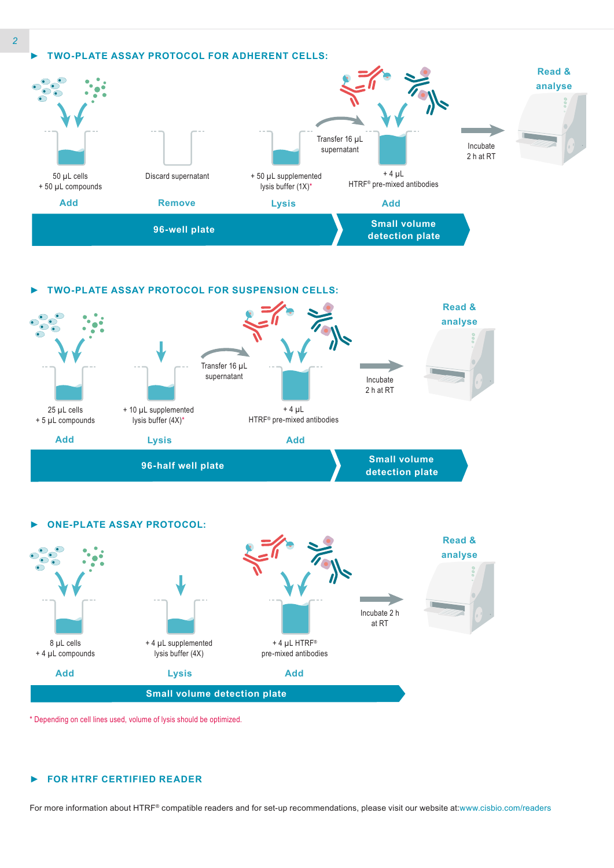





\* Depending on cell lines used, volume of lysis should be optimized.

### *►* **FOR HTRF CERTIFIED READER**

For more information about HTRF® compatible readers and for set-up recommendations, please visit our website at:www.cisbio.com/readers

*2*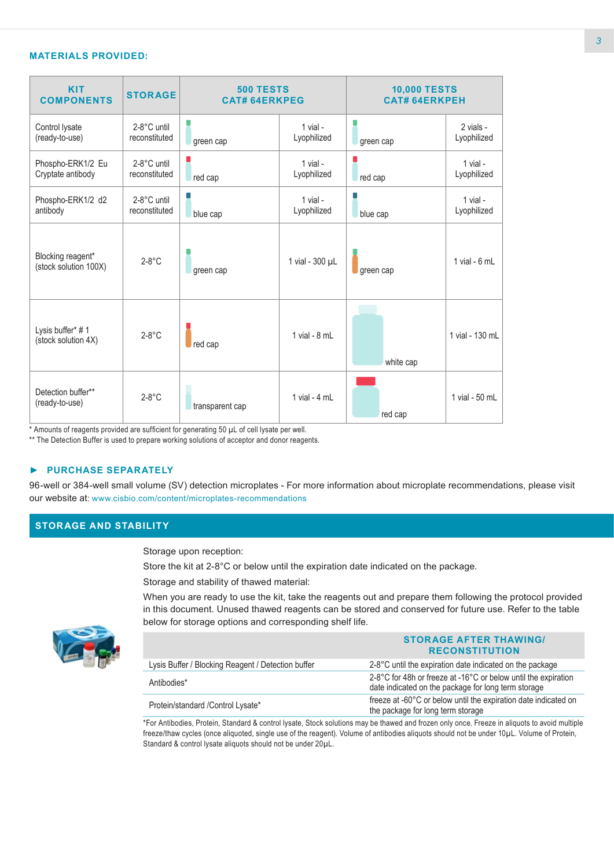# **MATERIALS PROVIDED:**

| <b>KIT</b><br><b>COMPONENTS</b>            | <b>STORAGE</b>               | <b>500 TESTS</b><br><b>CAT# 64ERKPEG</b> |                           | <b>10,000 TESTS</b><br><b>CAT# 64ERKPEH</b> |                          |
|--------------------------------------------|------------------------------|------------------------------------------|---------------------------|---------------------------------------------|--------------------------|
| Control lysate<br>(ready-to-use)           | 2-8°C until<br>reconstituted | green cap                                | $1$ vial -<br>Lyophilized | green cap                                   | 2 vials -<br>Lyophilized |
| Phospho-ERK1/2 Eu<br>Cryptate antibody     | 2-8°C until<br>reconstituted | red cap                                  | $1$ vial -<br>Lyophilized | red cap                                     | 1 vial -<br>Lyophilized  |
| Phospho-ERK1/2 d2<br>antibody              | 2-8°C until<br>reconstituted | blue cap                                 | $1$ vial -<br>Lyophilized | blue cap                                    | 1 vial -<br>Lyophilized  |
| Blocking reagent*<br>(stock solution 100X) | $2-8$ °C                     | green cap                                | 1 vial - 300 µL           | green cap                                   | 1 vial - $6$ mL          |
| Lysis buffer* #1<br>(stock solution 4X)    | $2-8^\circ C$                | red cap                                  | 1 vial - $8$ mL           | white cap                                   | 1 vial - 130 mL          |
| Detection buffer**<br>(ready-to-use)       | $2-8^\circ C$                | transparent cap                          | 1 vial - $4$ mL           | red cap                                     | 1 vial - 50 mL           |

\* Amounts of reagents provided are sufficient for generating 50 µL of cell lysate per well.

\*\* The Detection Buffer is used to prepare working solutions of acceptor and donor reagents.

# *►* **PURCHASE SEPARATELY**

96-well or 384-well small volume (SV) detection microplates - For more information about microplate recommendations, please visit our website at: www.cisbio.com/content/microplates-recommendations

# **STORAGE AND STABILITY**

Storage upon reception:

Store the kit at 2-8°C or below until the expiration date indicated on the package.

Storage and stability of thawed material:

When you are ready to use the kit, take the reagents out and prepare them following the protocol provided in this document. Unused thawed reagents can be stored and conserved for future use. Refer to the table below for storage options and corresponding shelf life.



|                                                    | <b>STORAGE AFTER THAWING/</b><br><b>RECONSTITUTION</b>                                                                |
|----------------------------------------------------|-----------------------------------------------------------------------------------------------------------------------|
| Lysis Buffer / Blocking Reagent / Detection buffer | 2-8°C until the expiration date indicated on the package                                                              |
| Antibodies*                                        | 2-8°C for 48h or freeze at -16°C or below until the expiration<br>date indicated on the package for long term storage |
| Protein/standard / Control Lysate*                 | freeze at -60°C or below until the expiration date indicated on<br>the package for long term storage                  |

\*For Antibodies, Protein, Standard & control lysate, Stock solutions may be thawed and frozen only once. Freeze in aliquots to avoid multiple freeze/thaw cycles (once aliquoted, single use of the reagent). Volume of antibodies aliquots should not be under 10µL. Volume of Protein, Standard & control lysate aliquots should not be under 20µL.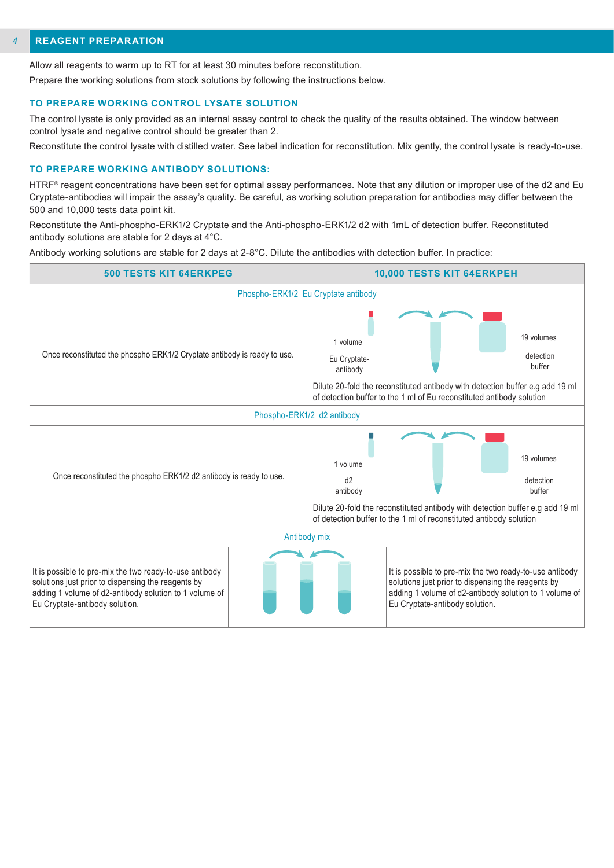#### **REAGENT PREPARATION** *4*

Allow all reagents to warm up to RT for at least 30 minutes before reconstitution.

Prepare the working solutions from stock solutions by following the instructions below.

#### **TO PREPARE WORKING CONTROL LYSATE SOLUTION**

The control lysate is only provided as an internal assay control to check the quality of the results obtained. The window between control lysate and negative control should be greater than 2.

Reconstitute the control lysate with distilled water. See label indication for reconstitution. Mix gently, the control lysate is ready-to-use.

#### **TO PREPARE WORKING ANTIBODY SOLUTIONS:**

HTRF<sup>®</sup> reagent concentrations have been set for optimal assay performances. Note that any dilution or improper use of the d2 and Eu Cryptate-antibodies will impair the assay's quality. Be careful, as working solution preparation for antibodies may differ between the 500 and 10,000 tests data point kit.

Reconstitute the Anti-phospho-ERK1/2 Cryptate and the Anti-phospho-ERK1/2 d2 with 1mL of detection buffer. Reconstituted antibody solutions are stable for 2 days at 4°C.

Antibody working solutions are stable for 2 days at 2-8°C. Dilute the antibodies with detection buffer. In practice:

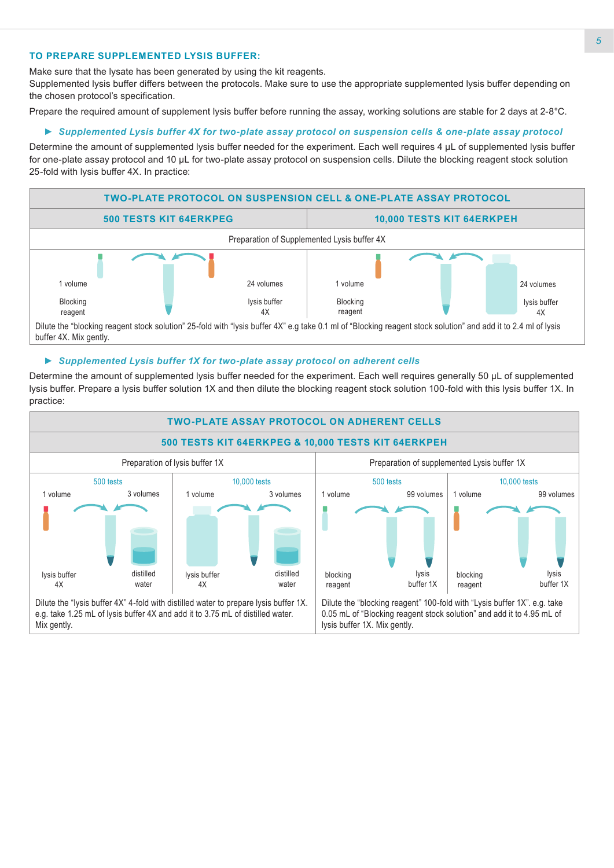# **TO PREPARE SUPPLEMENTED LYSIS BUFFER:**

Make sure that the lysate has been generated by using the kit reagents.

Supplemented lysis buffer differs between the protocols. Make sure to use the appropriate supplemented lysis buffer depending on the chosen protocol's specification.

Prepare the required amount of supplement lysis buffer before running the assay, working solutions are stable for 2 days at 2-8°C.

# *► Supplemented Lysis buffer 4X for two-plate assay protocol on suspension cells & one-plate assay protocol*

Determine the amount of supplemented lysis buffer needed for the experiment. Each well requires 4 μL of supplemented lysis buffer for one-plate assay protocol and 10 μL for two-plate assay protocol on suspension cells. Dilute the blocking reagent stock solution 25-fold with lysis buffer 4X. In practice:



## *► Supplemented Lysis buffer 1X for two-plate assay protocol on adherent cells*

Determine the amount of supplemented lysis buffer needed for the experiment. Each well requires generally 50 µL of supplemented lysis buffer. Prepare a lysis buffer solution 1X and then dilute the blocking reagent stock solution 100-fold with this lysis buffer 1X. In practice:

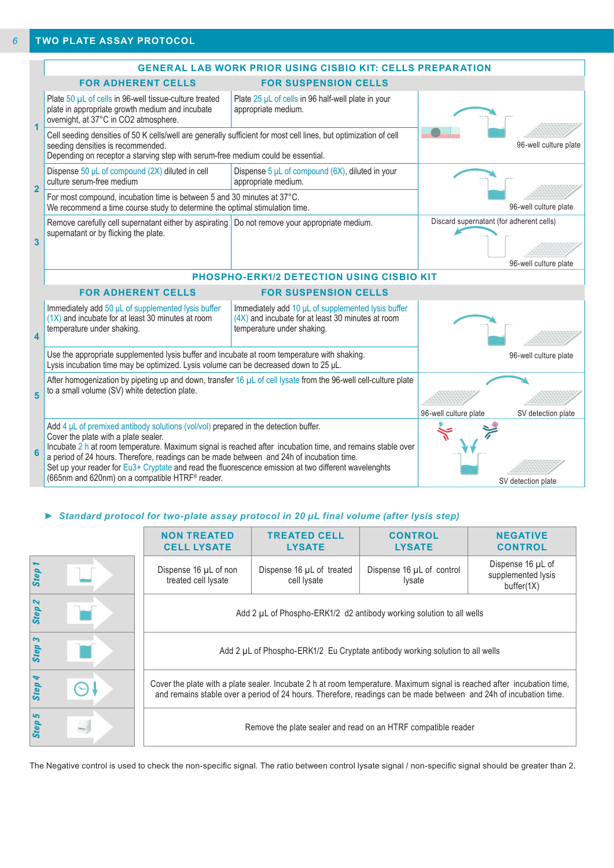|                                                                                                                                                        |                                                                                                                                                                                                                                                                                                                                                                                                                                                                                                        | <b>GENERAL LAB WORK PRIOR USING CISBIO KIT: CELLS PREPARATION</b>                                                                       |                                          |                       |  |
|--------------------------------------------------------------------------------------------------------------------------------------------------------|--------------------------------------------------------------------------------------------------------------------------------------------------------------------------------------------------------------------------------------------------------------------------------------------------------------------------------------------------------------------------------------------------------------------------------------------------------------------------------------------------------|-----------------------------------------------------------------------------------------------------------------------------------------|------------------------------------------|-----------------------|--|
|                                                                                                                                                        | <b>FOR ADHERENT CELLS</b>                                                                                                                                                                                                                                                                                                                                                                                                                                                                              | <b>FOR SUSPENSION CELLS</b>                                                                                                             |                                          |                       |  |
|                                                                                                                                                        | Plate 50 µL of cells in 96-well tissue-culture treated<br>plate in appropriate growth medium and incubate<br>overnight, at 37°C in CO2 atmosphere.                                                                                                                                                                                                                                                                                                                                                     | Plate 25 µL of cells in 96 half-well plate in your<br>appropriate medium.                                                               |                                          |                       |  |
| $\blacktriangleleft$                                                                                                                                   | Cell seeding densities of 50 K cells/well are generally sufficient for most cell lines, but optimization of cell<br>seeding densities is recommended.<br>Depending on receptor a starving step with serum-free medium could be essential.                                                                                                                                                                                                                                                              |                                                                                                                                         |                                          | 96-well culture plate |  |
| $\overline{2}$                                                                                                                                         | Dispense $50 \mu L$ of compound (2X) diluted in cell<br>culture serum-free medium                                                                                                                                                                                                                                                                                                                                                                                                                      | Dispense $5 \mu L$ of compound (6X), diluted in your<br>appropriate medium.                                                             |                                          |                       |  |
| For most compound, incubation time is between 5 and 30 minutes at 37°C.<br>We recommend a time course study to determine the optimal stimulation time. |                                                                                                                                                                                                                                                                                                                                                                                                                                                                                                        |                                                                                                                                         |                                          | 96-well culture plate |  |
| $\overline{\mathbf{3}}$                                                                                                                                | Remove carefully cell supernatant either by aspirating   Do not remove your appropriate medium.<br>supernatant or by flicking the plate.                                                                                                                                                                                                                                                                                                                                                               |                                                                                                                                         | Discard supernatant (for adherent cells) | 96-well culture plate |  |
|                                                                                                                                                        | <b>PHOSPHO-ERK1/2 DETECTION USING CISBIO KIT</b>                                                                                                                                                                                                                                                                                                                                                                                                                                                       |                                                                                                                                         |                                          |                       |  |
|                                                                                                                                                        | <b>FOR ADHERENT CELLS</b>                                                                                                                                                                                                                                                                                                                                                                                                                                                                              |                                                                                                                                         |                                          |                       |  |
| $\overline{\mathbf{4}}$                                                                                                                                | Immediately add 50 µL of supplemented lysis buffer<br>$(1X)$ and incubate for at least 30 minutes at room<br>temperature under shaking.                                                                                                                                                                                                                                                                                                                                                                | Immediately add 10 µL of supplemented lysis buffer<br>$(4X)$ and incubate for at least 30 minutes at room<br>temperature under shaking. |                                          |                       |  |
|                                                                                                                                                        | Use the appropriate supplemented lysis buffer and incubate at room temperature with shaking.<br>Lysis incubation time may be optimized. Lysis volume can be decreased down to 25 µL.                                                                                                                                                                                                                                                                                                                   |                                                                                                                                         |                                          | 96-well culture plate |  |
| 5                                                                                                                                                      | After homogenization by pipeting up and down, transfer 16 µL of cell lysate from the 96-well cell-culture plate<br>to a small volume (SV) white detection plate.                                                                                                                                                                                                                                                                                                                                       |                                                                                                                                         |                                          |                       |  |
|                                                                                                                                                        |                                                                                                                                                                                                                                                                                                                                                                                                                                                                                                        |                                                                                                                                         | 96-well culture plate                    | SV detection plate    |  |
| 6                                                                                                                                                      | Add $4 \mu$ L of premixed antibody solutions (vol/vol) prepared in the detection buffer.<br>Cover the plate with a plate sealer.<br>Incubate 2 h at room temperature. Maximum signal is reached after incubation time, and remains stable over<br>a period of 24 hours. Therefore, readings can be made between and 24h of incubation time.<br>Set up your reader for Eu3+ Cryptate and read the fluorescence emission at two different wavelenghts<br>(665nm and 620nm) on a compatible HTRF® reader. |                                                                                                                                         |                                          | SV detection plate    |  |

# *► Standard protocol for two-plate assay protocol in 20 µL final volume (after lysis step)*

|        | <b>NON TREATED</b><br><b>CELL LYSATE</b>                                                                                                                                                                                                     | <b>TREATED CELL</b><br><b>LYSATE</b>     | <b>CONTROL</b><br><b>LYSATE</b>     | <b>NEGATIVE</b><br><b>CONTROL</b>                     |
|--------|----------------------------------------------------------------------------------------------------------------------------------------------------------------------------------------------------------------------------------------------|------------------------------------------|-------------------------------------|-------------------------------------------------------|
| Step 1 | Dispense 16 µL of non<br>treated cell lysate                                                                                                                                                                                                 | Dispense 16 µL of treated<br>cell lysate | Dispense 16 µL of control<br>lysate | Dispense 16 µL of<br>supplemented lysis<br>buffer(1X) |
| Step 2 | Add 2 µL of Phospho-ERK1/2 d2 antibody working solution to all wells                                                                                                                                                                         |                                          |                                     |                                                       |
| Step 3 | Add 2 µL of Phospho-ERK1/2 Eu Cryptate antibody working solution to all wells                                                                                                                                                                |                                          |                                     |                                                       |
| Step 4 | Cover the plate with a plate sealer. Incubate 2 h at room temperature. Maximum signal is reached after incubation time,<br>and remains stable over a period of 24 hours. Therefore, readings can be made between and 24h of incubation time. |                                          |                                     |                                                       |
| Step 5 | Remove the plate sealer and read on an HTRF compatible reader                                                                                                                                                                                |                                          |                                     |                                                       |

The Negative control is used to check the non-specific signal. The ratio between control lysate signal / non-specific signal should be greater than 2.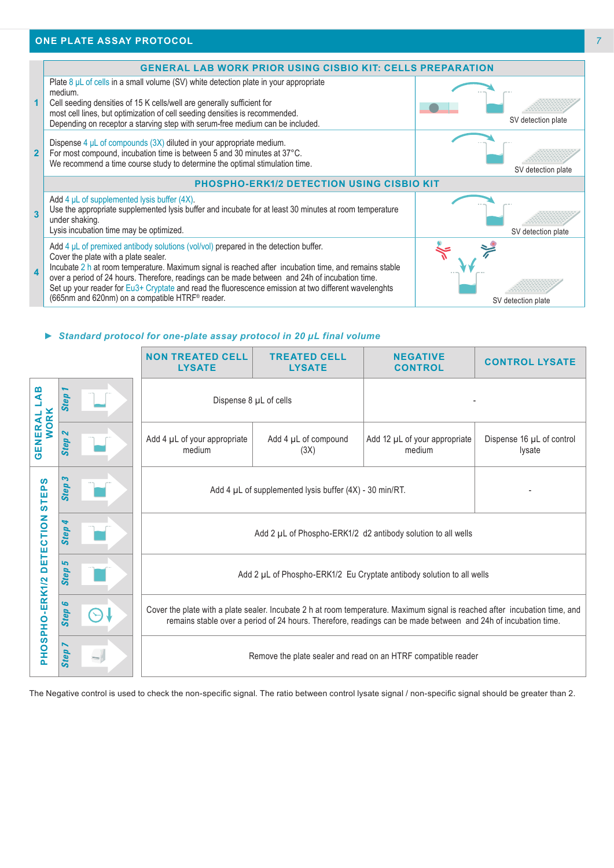

### *► Standard protocol for one-plate assay protocol in 20 µL final volume*

|                                                                                                                                                        |                                          | <b>NON TREATED CELL</b><br><b>LYSATE</b>                                                                                                                                                                                                     | <b>TREATED CELL</b><br><b>LYSATE</b> | <b>NEGATIVE</b><br><b>CONTROL</b>                                     | <b>CONTROL LYSATE</b>               |
|--------------------------------------------------------------------------------------------------------------------------------------------------------|------------------------------------------|----------------------------------------------------------------------------------------------------------------------------------------------------------------------------------------------------------------------------------------------|--------------------------------------|-----------------------------------------------------------------------|-------------------------------------|
| B<br>⋖                                                                                                                                                 | <b>Step</b>                              | Dispense 8 µL of cells                                                                                                                                                                                                                       |                                      |                                                                       |                                     |
| <b>WORK</b><br>GENERAL                                                                                                                                 | $\boldsymbol{\mathsf{N}}$<br><b>Step</b> | Add 4 µL of your appropriate<br>medium                                                                                                                                                                                                       | Add 4 µL of compound<br>(3X)         | Add 12 µL of your appropriate<br>medium                               | Dispense 16 µL of control<br>lysate |
| <b>STEPS</b>                                                                                                                                           | S<br><b>Step</b>                         | Add 4 µL of supplemented lysis buffer (4X) - 30 min/RT.                                                                                                                                                                                      |                                      |                                                                       |                                     |
| <b>DETECTION</b>                                                                                                                                       | <b>Step</b>                              | Add 2 µL of Phospho-ERK1/2 d2 antibody solution to all wells                                                                                                                                                                                 |                                      |                                                                       |                                     |
|                                                                                                                                                        | ما<br><b>Step</b>                        |                                                                                                                                                                                                                                              |                                      | Add 2 µL of Phospho-ERK1/2 Eu Cryptate antibody solution to all wells |                                     |
| PHOSPHO-ERK1/2                                                                                                                                         | G<br>Step                                | Cover the plate with a plate sealer. Incubate 2 h at room temperature. Maximum signal is reached after incubation time, and<br>remains stable over a period of 24 hours. Therefore, readings can be made between and 24h of incubation time. |                                      |                                                                       |                                     |
|                                                                                                                                                        | Step                                     | Remove the plate sealer and read on an HTRF compatible reader                                                                                                                                                                                |                                      |                                                                       |                                     |
| The Negative control is used to check the non-specific signal. The ratio between control lysate signal / non-specific signal should be greater than 2. |                                          |                                                                                                                                                                                                                                              |                                      |                                                                       |                                     |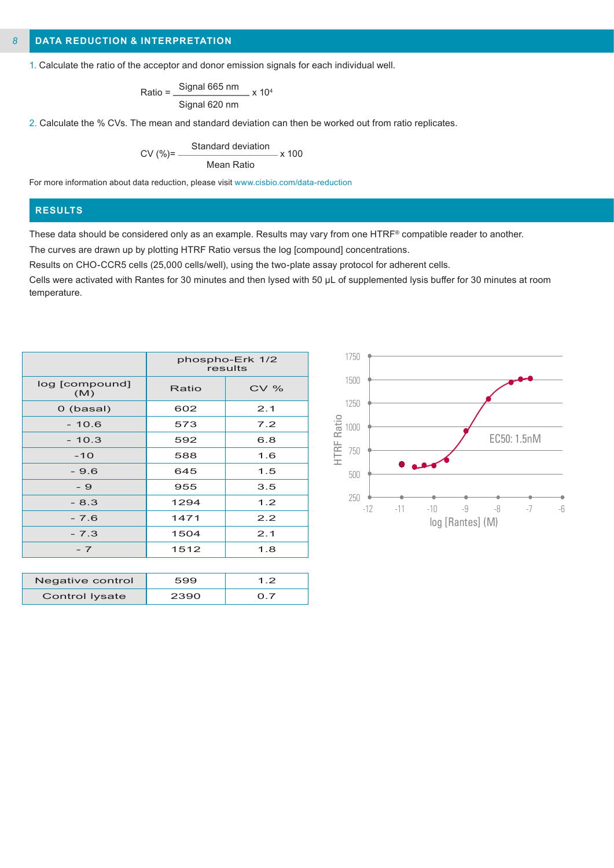#### **DATA REDUCTION & INTERPRETATION** *8*

1. Calculate the ratio of the acceptor and donor emission signals for each individual well.

$$
Ratio = \frac{Signal 665 nm}{Signal 620 nm} \times 10^4
$$

2. Calculate the % CVs. The mean and standard deviation can then be worked out from ratio replicates.

$$
CV (%) = \frac{Standard deviation}{Mean Ratio} \times 100
$$

For more information about data reduction, please visit www.cisbio.com/data-reduction

# **RESULTS**

These data should be considered only as an example. Results may vary from one HTRF® compatible reader to another.

The curves are drawn up by plotting HTRF Ratio versus the log [compound] concentrations.

Results on CHO-CCR5 cells (25,000 cells/well), using the two-plate assay protocol for adherent cells.

Cells were activated with Rantes for 30 minutes and then lysed with 50 µL of supplemented lysis buffer for 30 minutes at room temperature.

|                       | phospho-Erk 1/2<br>results |     |  |
|-----------------------|----------------------------|-----|--|
| log [compound]<br>(M) | Ratio                      | CV% |  |
| 0 (basal)             | 602                        | 2.1 |  |
| $-10.6$               | 573                        | 7.2 |  |
| $-10.3$               | 592                        | 6.8 |  |
| $-10$                 | 588                        | 1.6 |  |
| $-9.6$                | 645                        | 1.5 |  |
| - 9                   | 955                        | 3.5 |  |
| $-8.3$                | 1294                       | 1.2 |  |
| $-7.6$                | 1471                       | 2.2 |  |
| $-7.3$                | 1504                       | 2.1 |  |
| $-7$                  | 1512                       | 1.8 |  |
|                       |                            |     |  |

| Negative control | 599  | 12 |
|------------------|------|----|
| Control Iysate   | 2390 |    |